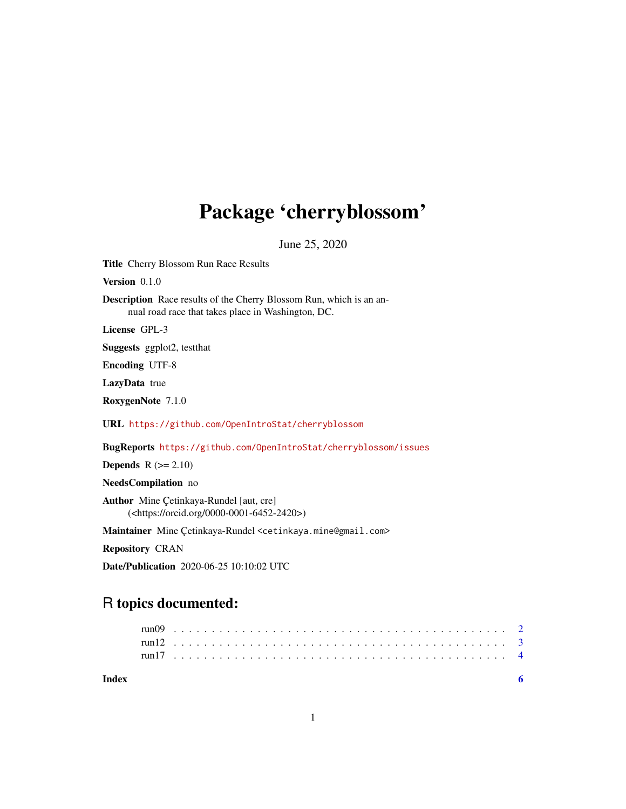# Package 'cherryblossom'

June 25, 2020

Title Cherry Blossom Run Race Results

Version 0.1.0

Description Race results of the Cherry Blossom Run, which is an annual road race that takes place in Washington, DC.

License GPL-3

Suggests ggplot2, testthat

Encoding UTF-8

LazyData true

RoxygenNote 7.1.0

URL <https://github.com/OpenIntroStat/cherryblossom>

BugReports <https://github.com/OpenIntroStat/cherryblossom/issues>

**Depends**  $R$  ( $>= 2.10$ )

NeedsCompilation no

Author Mine Çetinkaya-Rundel [aut, cre] (<https://orcid.org/0000-0001-6452-2420>)

Maintainer Mine Çetinkaya-Rundel <cetinkaya.mine@gmail.com>

Repository CRAN

Date/Publication 2020-06-25 10:10:02 UTC

## R topics documented:

| Index |  |  |  |  |  |  |  |  |  |  |  |  |  |  |  |  |  |  |  |  |  |  |  |  |
|-------|--|--|--|--|--|--|--|--|--|--|--|--|--|--|--|--|--|--|--|--|--|--|--|--|
|       |  |  |  |  |  |  |  |  |  |  |  |  |  |  |  |  |  |  |  |  |  |  |  |  |
|       |  |  |  |  |  |  |  |  |  |  |  |  |  |  |  |  |  |  |  |  |  |  |  |  |
|       |  |  |  |  |  |  |  |  |  |  |  |  |  |  |  |  |  |  |  |  |  |  |  |  |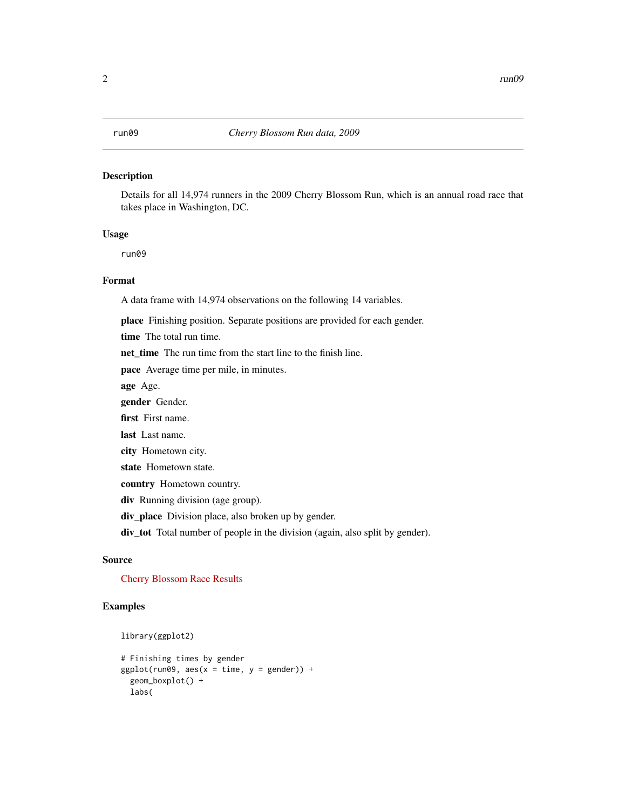#### <span id="page-1-0"></span>Description

Details for all 14,974 runners in the 2009 Cherry Blossom Run, which is an annual road race that takes place in Washington, DC.

#### Usage

run09

### Format

A data frame with 14,974 observations on the following 14 variables.

place Finishing position. Separate positions are provided for each gender.

time The total run time.

net time The run time from the start line to the finish line.

pace Average time per mile, in minutes.

age Age.

gender Gender.

first First name.

last Last name.

city Hometown city.

state Hometown state.

country Hometown country.

div Running division (age group).

div\_place Division place, also broken up by gender.

div\_tot Total number of people in the division (again, also split by gender).

#### Source

[Cherry Blossom Race Results](http://www.cherryblossom.org/aboutus/results.php)

### Examples

```
library(ggplot2)
```

```
# Finishing times by gender
ggplot(run09, aes(x = time, y = gender)) +geom_boxplot() +
 labs(
```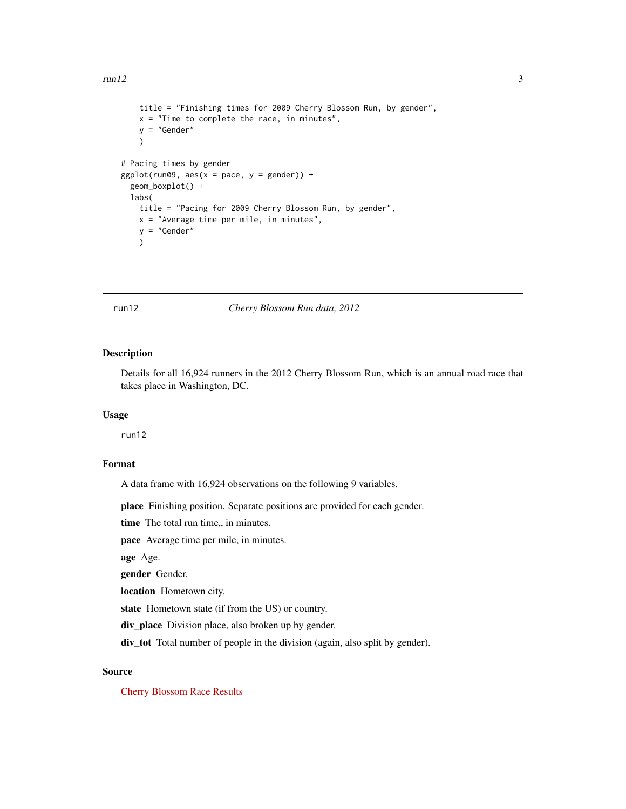#### <span id="page-2-0"></span> $run12$  3

```
title = "Finishing times for 2009 Cherry Blossom Run, by gender",
   x = "Time to complete the race, in minutes",
   y = "Gender"
   )
# Pacing times by gender
ggplot(run09, aes(x = pace, y = gender)) +geom_boxplot() +
 labs(
   title = "Pacing for 2009 Cherry Blossom Run, by gender",
   x = "Average time per mile, in minutes",
   y = "Gender"
   )
```
run12 *Cherry Blossom Run data, 2012*

#### Description

Details for all 16,924 runners in the 2012 Cherry Blossom Run, which is an annual road race that takes place in Washington, DC.

#### Usage

run12

#### Format

A data frame with 16,924 observations on the following 9 variables.

place Finishing position. Separate positions are provided for each gender.

time The total run time,, in minutes.

pace Average time per mile, in minutes.

age Age.

gender Gender.

location Hometown city.

state Hometown state (if from the US) or country.

div\_place Division place, also broken up by gender.

div\_tot Total number of people in the division (again, also split by gender).

#### Source

[Cherry Blossom Race Results](http://www.cherryblossom.org/aboutus/results.php)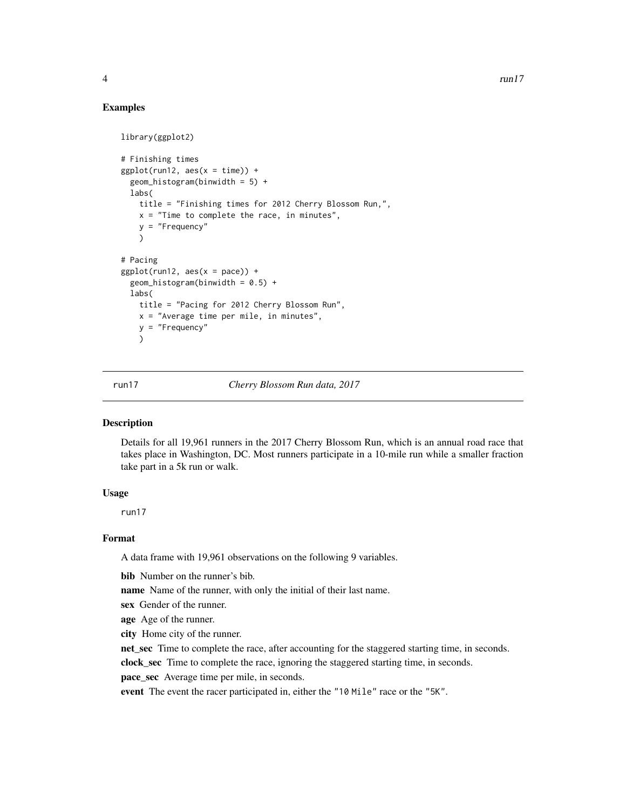#### <span id="page-3-0"></span>Examples

```
library(ggplot2)
# Finishing times
ggplot(run12, aes(x = time)) +geom_histogram(binwidth = 5) +
 labs(
    title = "Finishing times for 2012 Cherry Blossom Run,",
   x = "Time to complete the race, in minutes",
   y = "Frequency"
   )
# Pacing
ggplot(run12, aes(x = pace)) +geom_histogram(binwidth = 0.5) +
 labs(
   title = "Pacing for 2012 Cherry Blossom Run",
   x = "Average time per mile, in minutes",
   y = "Frequency"
    )
```
run17 *Cherry Blossom Run data, 2017*

#### Description

Details for all 19,961 runners in the 2017 Cherry Blossom Run, which is an annual road race that takes place in Washington, DC. Most runners participate in a 10-mile run while a smaller fraction take part in a 5k run or walk.

#### Usage

run17

#### Format

A data frame with 19,961 observations on the following 9 variables.

bib Number on the runner's bib.

name Name of the runner, with only the initial of their last name.

sex Gender of the runner.

age Age of the runner.

city Home city of the runner.

net\_sec Time to complete the race, after accounting for the staggered starting time, in seconds.

clock\_sec Time to complete the race, ignoring the staggered starting time, in seconds.

pace\_sec Average time per mile, in seconds.

event The event the racer participated in, either the "10 Mile" race or the "5K".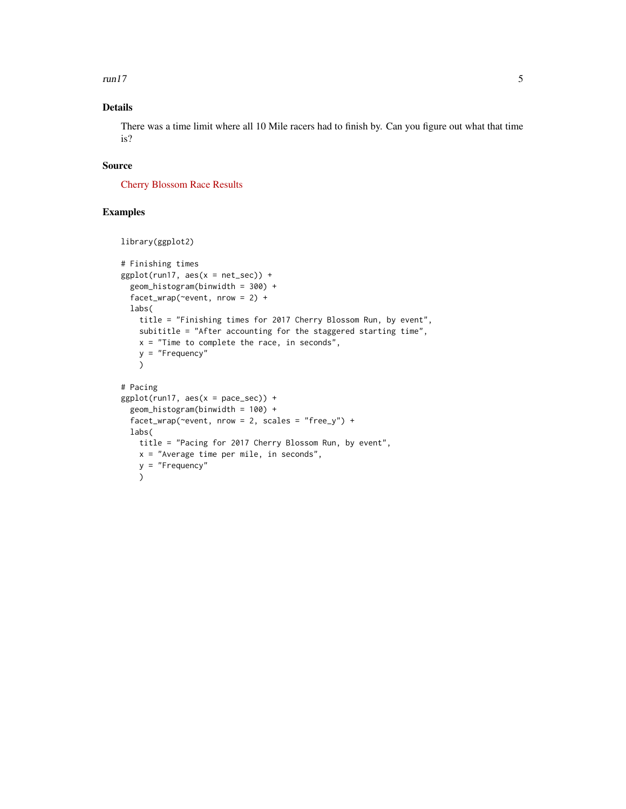$run17$  5

### Details

There was a time limit where all 10 Mile racers had to finish by. Can you figure out what that time is?

#### Source

[Cherry Blossom Race Results](http://www.cherryblossom.org/aboutus/results.php)

#### Examples

```
library(ggplot2)
# Finishing times
ggplot(run17, aes(x = net\_sec)) +geom_histogram(binwidth = 300) +
  facet_wrap(~event, nrow = 2) +
  labs(
    title = "Finishing times for 2017 Cherry Blossom Run, by event",
   subititle = "After accounting for the staggered starting time",
   x = "Time to complete the race, in seconds",
   y = "Frequency"
   )
# Pacing
ggplot(run17, aes(x = pace\_sec)) +
  geom_histogram(binwidth = 100) +
  factor_{w}rap(~event, nrow = 2, scales = "free_y") +
  labs(
   title = "Pacing for 2017 Cherry Blossom Run, by event",
   x = "Average time per mile, in seconds",
   y = "Frequency"
    )
```